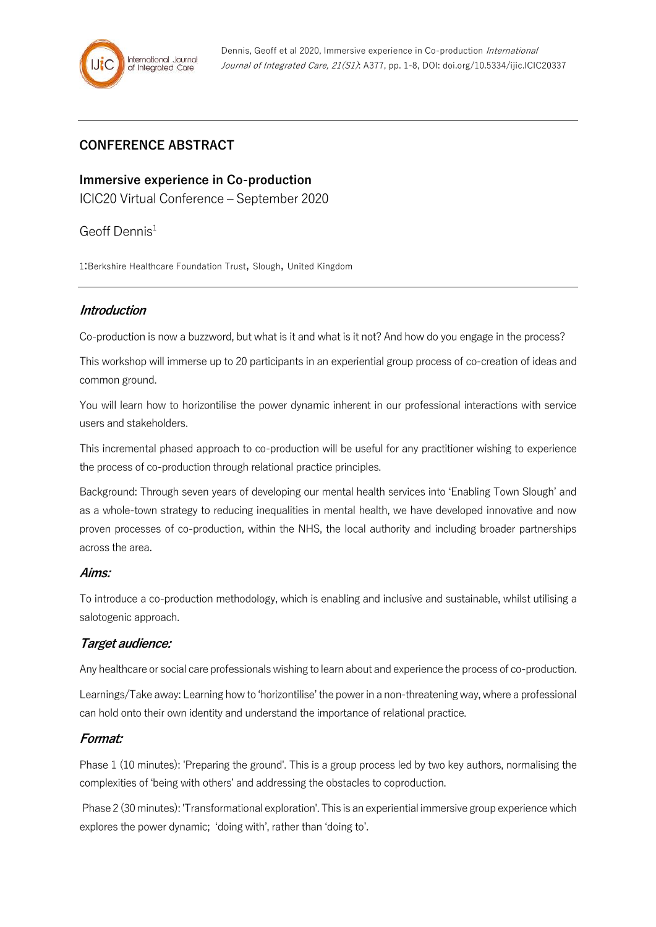# **CONFERENCE ABSTRACT**

**Immersive experience in Co-production** ICIC20 Virtual Conference – September 2020

Geoff Dennis 1

1:Berkshire Healthcare Foundation Trust, Slough, United Kingdom

### **Introduction**

Co-production is now a buzzword, but what is it and what is it not? And how do you engage in the process?

This workshop will immerse up to 20 participants in an experiential group process of co-creation of ideas and common ground.

You will learn how to horizontilise the power dynamic inherent in our professional interactions with service users and stakeholders.

This incremental phased approach to co-production will be useful for any practitioner wishing to experience the process of co-production through relational practice principles.

Background: Through seven years of developing our mental health services into 'Enabling Town Slough' and as a whole-town strategy to reducing inequalities in mental health, we have developed innovative and now proven processes of co-production, within the NHS, the local authority and including broader partnerships across the area.

#### **Aims:**

To introduce a co-production methodology, which is enabling and inclusive and sustainable, whilst utilising a salotogenic approach.

## **Target audience:**

Any healthcare or social care professionals wishing to learn about and experience the process of co-production.

Learnings/Take away: Learning how to 'horizontilise' the power in a non-threatening way, where a professional can hold onto their own identity and understand the importance of relational practice.

## **Format:**

Phase 1 (10 minutes): 'Preparing the ground'. This is a group process led by two key authors, normalising the complexities of 'being with others' and addressing the obstacles to coproduction.

Phase 2 (30 minutes): 'Transformational exploration'. This is an experiential immersive group experience which explores the power dynamic; 'doing with', rather than 'doing to'.